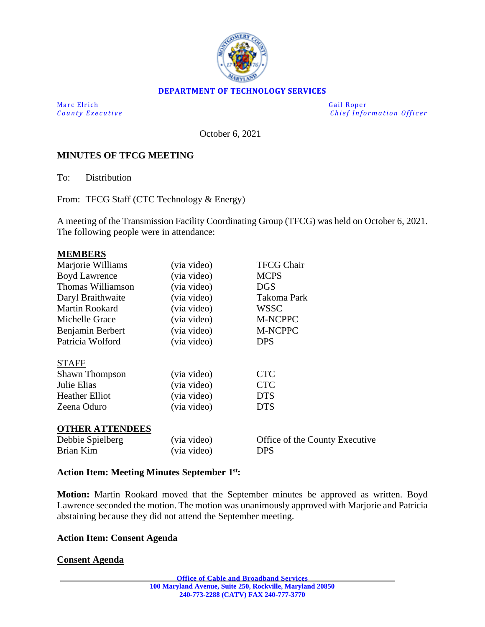

### **DEPARTMENT OF TECHNOLOGY SERVICES**

Marc Elrich Gail Roper

*County Executive* **County Executive Change in the county Executive Chief Information Officer** 

October 6, 2021

### **MINUTES OF TFCG MEETING**

To: Distribution

From: TFCG Staff (CTC Technology & Energy)

A meeting of the Transmission Facility Coordinating Group (TFCG) was held on October 6, 2021. The following people were in attendance:

#### **MEMBERS**

| Marjorie Williams      | (via video) | <b>TFCG Chair</b>              |
|------------------------|-------------|--------------------------------|
| <b>Boyd Lawrence</b>   | (via video) | <b>MCPS</b>                    |
| Thomas Williamson      | (via video) | <b>DGS</b>                     |
| Daryl Braithwaite      | (via video) | Takoma Park                    |
| <b>Martin Rookard</b>  | (via video) | <b>WSSC</b>                    |
| Michelle Grace         | (via video) | M-NCPPC                        |
| Benjamin Berbert       | (via video) | M-NCPPC                        |
| Patricia Wolford       | (via video) | <b>DPS</b>                     |
| <b>STAFF</b>           |             |                                |
| <b>Shawn Thompson</b>  | (via video) | <b>CTC</b>                     |
| Julie Elias            | (via video) | <b>CTC</b>                     |
| <b>Heather Elliot</b>  | (via video) | <b>DTS</b>                     |
| Zeena Oduro            | (via video) | <b>DTS</b>                     |
| <b>OTHER ATTENDEES</b> |             |                                |
| Debbie Spielberg       | (via video) | Office of the County Executive |
| Brian Kim              | (via video) | <b>DPS</b>                     |
|                        |             |                                |

### **Action Item: Meeting Minutes September 1st:**

**Motion:** Martin Rookard moved that the September minutes be approved as written. Boyd Lawrence seconded the motion. The motion was unanimously approved with Marjorie and Patricia abstaining because they did not attend the September meeting.

### **Action Item: Consent Agenda**

### **Consent Agenda**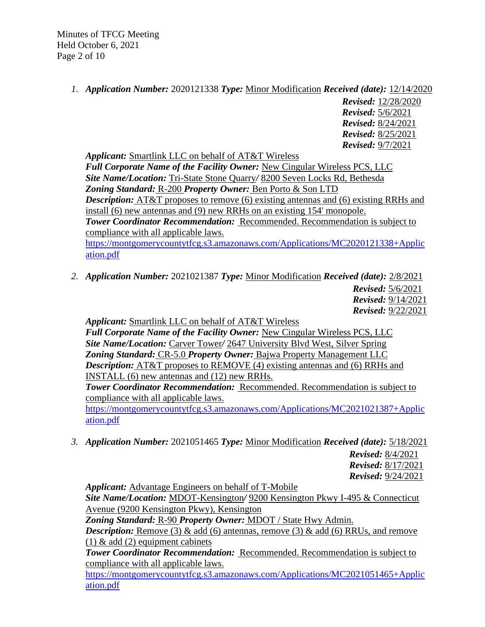Minutes of TFCG Meeting Held October 6, 2021 Page 2 of 10

*1. Application Number:* 2020121338 *Type:* Minor Modification *Received (date):* 12/14/2020

*Revised:* 12/28/2020 *Revised:* 5/6/2021 *Revised:* 8/24/2021 *Revised:* 8/25/2021 *Revised:* 9/7/2021

*Applicant:* Smartlink LLC on behalf of AT&T Wireless *Full Corporate Name of the Facility Owner:* New Cingular Wireless PCS, LLC *Site Name/Location:* Tri-State Stone Quarry*/* 8200 Seven Locks Rd, Bethesda *Zoning Standard:* R-200 *Property Owner:* Ben Porto & Son LTD *Description:* AT&T proposes to remove (6) existing antennas and (6) existing RRHs and install (6) new antennas and (9) new RRHs on an existing 154' monopole. *Tower Coordinator Recommendation:* Recommended. Recommendation is subject to compliance with all applicable laws. [https://montgomerycountytfcg.s3.amazonaws.com/Applications/MC2020121338+Applic](https://montgomerycountytfcg.s3.amazonaws.com/Applications/MC2020121338+Application.pdf) [ation.pdf](https://montgomerycountytfcg.s3.amazonaws.com/Applications/MC2020121338+Application.pdf)

*2. Application Number:* 2021021387 *Type:* Minor Modification *Received (date):* 2/8/2021 *Revised:* 5/6/2021 *Revised:* 9/14/2021

*Revised:* 9/22/2021

*Applicant:* Smartlink LLC on behalf of AT&T Wireless

*Full Corporate Name of the Facility Owner:* New Cingular Wireless PCS, LLC *Site Name/Location:* Carver Tower*/* 2647 University Blvd West, Silver Spring *Zoning Standard:* CR-5.0 *Property Owner:* Bajwa Property Management LLC *Description:* AT&T proposes to REMOVE (4) existing antennas and (6) RRHs and INSTALL (6) new antennas and (12) new RRHs.

*Tower Coordinator Recommendation:* Recommended. Recommendation is subject to compliance with all applicable laws.

[https://montgomerycountytfcg.s3.amazonaws.com/Applications/MC2021021387+Applic](https://montgomerycountytfcg.s3.amazonaws.com/Applications/MC2021021387+Application.pdf) [ation.pdf](https://montgomerycountytfcg.s3.amazonaws.com/Applications/MC2021021387+Application.pdf)

*3. Application Number:* 2021051465 *Type:* Minor Modification *Received (date):* 5/18/2021

*Revised:* 8/4/2021 *Revised:* 8/17/2021 *Revised:* 9/24/2021

*Applicant:* Advantage Engineers on behalf of T-Mobile *Site Name/Location:* MDOT-Kensington*/* 9200 Kensington Pkwy I-495 & Connecticut Avenue (9200 Kensington Pkwy), Kensington *Zoning Standard:* R-90 *Property Owner:* MDOT / State Hwy Admin. *Description:* Remove (3) & add (6) antennas, remove (3) & add (6) RRUs, and remove (1)  $\&$  add (2) equipment cabinets *Tower Coordinator Recommendation:* Recommended. Recommendation is subject to compliance with all applicable laws.

[https://montgomerycountytfcg.s3.amazonaws.com/Applications/MC2021051465+Applic](https://montgomerycountytfcg.s3.amazonaws.com/Applications/MC2021051465+Application.pdf) [ation.pdf](https://montgomerycountytfcg.s3.amazonaws.com/Applications/MC2021051465+Application.pdf)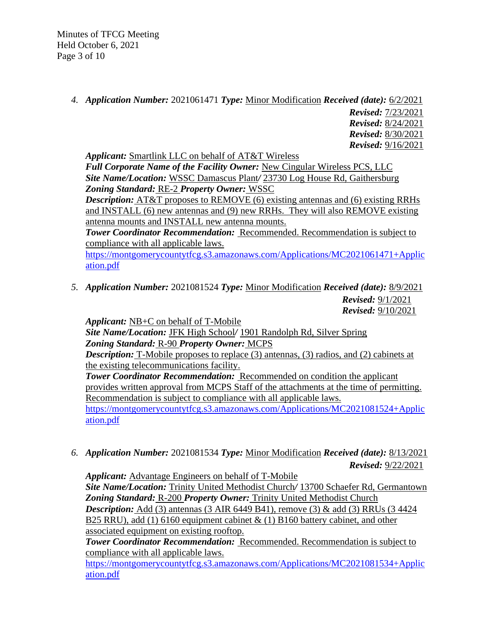Minutes of TFCG Meeting Held October 6, 2021 Page 3 of 10

*4. Application Number:* 2021061471 *Type:* Minor Modification *Received (date):* 6/2/2021

*Revised:* 7/23/2021 *Revised:* 8/24/2021 *Revised:* 8/30/2021 *Revised:* 9/16/2021

*Applicant:* Smartlink LLC on behalf of AT&T Wireless

*Full Corporate Name of the Facility Owner:* New Cingular Wireless PCS, LLC *Site Name/Location:* WSSC Damascus Plant*/* 23730 Log House Rd, Gaithersburg *Zoning Standard:* RE-2 *Property Owner:* WSSC

*Description:* AT&T proposes to REMOVE (6) existing antennas and (6) existing RRHs and INSTALL (6) new antennas and (9) new RRHs. They will also REMOVE existing antenna mounts and INSTALL new antenna mounts.

*Tower Coordinator Recommendation:* Recommended. Recommendation is subject to compliance with all applicable laws.

[https://montgomerycountytfcg.s3.amazonaws.com/Applications/MC2021061471+Applic](https://montgomerycountytfcg.s3.amazonaws.com/Applications/MC2021061471+Application.pdf) [ation.pdf](https://montgomerycountytfcg.s3.amazonaws.com/Applications/MC2021061471+Application.pdf)

*5. Application Number:* 2021081524 *Type:* Minor Modification *Received (date):* 8/9/2021 *Revised:* 9/1/2021 *Revised:* 9/10/2021

*Applicant:* NB+C on behalf of T-Mobile

*Site Name/Location:* JFK High School*/* 1901 Randolph Rd, Silver Spring *Zoning Standard:* R-90 *Property Owner:* MCPS

*Description:* T-Mobile proposes to replace (3) antennas, (3) radios, and (2) cabinets at the existing telecommunications facility.

*Tower Coordinator Recommendation:* Recommended on condition the applicant provides written approval from MCPS Staff of the attachments at the time of permitting. Recommendation is subject to compliance with all applicable laws.

[https://montgomerycountytfcg.s3.amazonaws.com/Applications/MC2021081524+Applic](https://montgomerycountytfcg.s3.amazonaws.com/Applications/MC2021081524+Application.pdf) [ation.pdf](https://montgomerycountytfcg.s3.amazonaws.com/Applications/MC2021081524+Application.pdf)

*6. Application Number:* 2021081534 *Type:* Minor Modification *Received (date):* 8/13/2021 *Revised:* 9/22/2021

*Applicant:* Advantage Engineers on behalf of T-Mobile

*Site Name/Location:* Trinity United Methodist Church*/* 13700 Schaefer Rd, Germantown *Zoning Standard:* R-200 *Property Owner:* Trinity United Methodist Church *Description:* Add (3) antennas (3 AIR 6449 B41), remove (3) & add (3) RRUs (3 4424 B25 RRU), add (1) 6160 equipment cabinet & (1) B160 battery cabinet, and other associated equipment on existing rooftop.

*Tower Coordinator Recommendation:* Recommended. Recommendation is subject to compliance with all applicable laws.

[https://montgomerycountytfcg.s3.amazonaws.com/Applications/MC2021081534+Applic](https://montgomerycountytfcg.s3.amazonaws.com/Applications/MC2021081534+Application.pdf) [ation.pdf](https://montgomerycountytfcg.s3.amazonaws.com/Applications/MC2021081534+Application.pdf)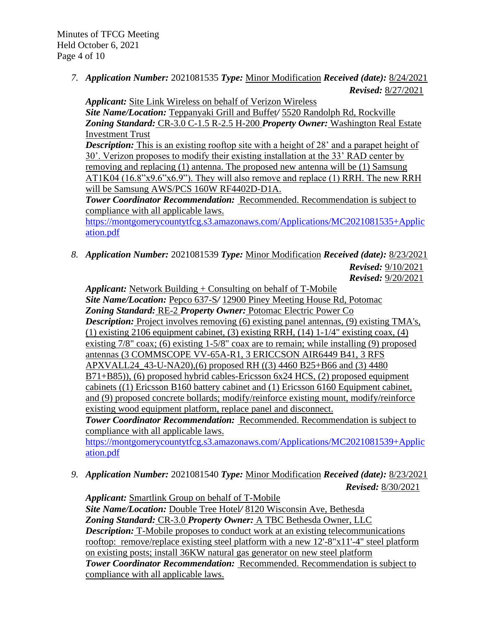*7. Application Number:* 2021081535 *Type:* Minor Modification *Received (date):* 8/24/2021 *Revised:* 8/27/2021

*Applicant:* Site Link Wireless on behalf of Verizon Wireless

*Site Name/Location:* Teppanyaki Grill and Buffet*/* 5520 Randolph Rd, Rockville *Zoning Standard:* CR-3.0 C-1.5 R-2.5 H-200 *Property Owner:* Washington Real Estate Investment Trust

**Description:** This is an existing rooftop site with a height of 28' and a parapet height of 30'. Verizon proposes to modify their existing installation at the 33' RAD center by removing and replacing (1) antenna. The proposed new antenna will be (1) Samsung AT1K04 (16.8"x9.6"x6.9"). They will also remove and replace (1) RRH. The new RRH will be Samsung AWS/PCS 160W RF4402D-D1A.

*Tower Coordinator Recommendation:* Recommended. Recommendation is subject to compliance with all applicable laws.

[https://montgomerycountytfcg.s3.amazonaws.com/Applications/MC2021081535+Applic](https://montgomerycountytfcg.s3.amazonaws.com/Applications/MC2021081535+Application.pdf) [ation.pdf](https://montgomerycountytfcg.s3.amazonaws.com/Applications/MC2021081535+Application.pdf)

*8. Application Number:* 2021081539 *Type:* Minor Modification *Received (date):* 8/23/2021

*Revised:* 9/10/2021 *Revised:* 9/20/2021

*Applicant:* Network Building + Consulting on behalf of T-Mobile *Site Name/Location:* Pepco 637-S*/* 12900 Piney Meeting House Rd, Potomac *Zoning Standard:* RE-2 *Property Owner:* Potomac Electric Power Co *Description:* Project involves removing (6) existing panel antennas, (9) existing TMA's, (1) existing 2106 equipment cabinet, (3) existing RRH, (14) 1-1/4" existing coax, (4) existing 7/8" coax; (6) existing 1-5/8" coax are to remain; while installing (9) proposed antennas (3 COMMSCOPE VV-65A-R1, 3 ERICCSON AIR6449 B41, 3 RFS APXVALL24\_43-U-NA20),(6) proposed RH ((3) 4460 B25+B66 and (3) 4480 B71+B85)), (6) proposed hybrid cables-Ericsson 6x24 HCS, (2) proposed equipment cabinets ((1) Ericsson B160 battery cabinet and (1) Ericsson 6160 Equipment cabinet, and (9) proposed concrete bollards; modify/reinforce existing mount, modify/reinforce existing wood equipment platform, replace panel and disconnect. *Tower Coordinator Recommendation:* Recommended. Recommendation is subject to

compliance with all applicable laws.

[https://montgomerycountytfcg.s3.amazonaws.com/Applications/MC2021081539+Applic](https://montgomerycountytfcg.s3.amazonaws.com/Applications/MC2021081539+Application.pdf) [ation.pdf](https://montgomerycountytfcg.s3.amazonaws.com/Applications/MC2021081539+Application.pdf)

*9. Application Number:* 2021081540 *Type:* Minor Modification *Received (date):* 8/23/2021 *Revised:* 8/30/2021

*Applicant:* Smartlink Group on behalf of T-Mobile *Site Name/Location:* Double Tree Hotel*/* 8120 Wisconsin Ave, Bethesda *Zoning Standard:* CR-3.0 *Property Owner:* A TBC Bethesda Owner, LLC *Description:* T-Mobile proposes to conduct work at an existing telecommunications rooftop: remove/replace existing steel platform with a new 12'-8"x11'-4" steel platform on existing posts; install 36KW natural gas generator on new steel platform *Tower Coordinator Recommendation:* Recommended. Recommendation is subject to compliance with all applicable laws.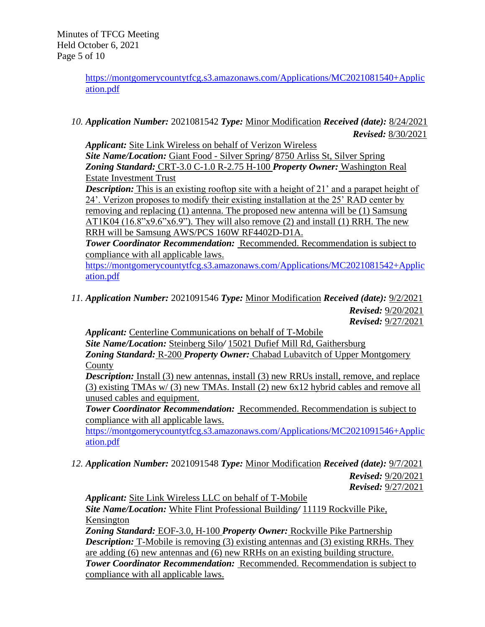[https://montgomerycountytfcg.s3.amazonaws.com/Applications/MC2021081540+Applic](https://montgomerycountytfcg.s3.amazonaws.com/Applications/MC2021081540+Application.pdf) [ation.pdf](https://montgomerycountytfcg.s3.amazonaws.com/Applications/MC2021081540+Application.pdf)

*10. Application Number:* 2021081542 *Type:* Minor Modification *Received (date):* 8/24/2021 *Revised:* 8/30/2021

*Applicant:* Site Link Wireless on behalf of Verizon Wireless *Site Name/Location:* Giant Food - Silver Spring*/* 8750 Arliss St, Silver Spring *Zoning Standard:* CRT-3.0 C-1.0 R-2.75 H-100 *Property Owner:* Washington Real Estate Investment Trust

*Description:* This is an existing rooftop site with a height of 21' and a parapet height of 24'. Verizon proposes to modify their existing installation at the 25' RAD center by removing and replacing (1) antenna. The proposed new antenna will be (1) Samsung  $AT1K04$  (16.8"x9.6"x6.9"). They will also remove (2) and install (1) RRH. The new RRH will be Samsung AWS/PCS 160W RF4402D-D1A.

*Tower Coordinator Recommendation:* Recommended. Recommendation is subject to compliance with all applicable laws.

[https://montgomerycountytfcg.s3.amazonaws.com/Applications/MC2021081542+Applic](https://montgomerycountytfcg.s3.amazonaws.com/Applications/MC2021081542+Application.pdf) [ation.pdf](https://montgomerycountytfcg.s3.amazonaws.com/Applications/MC2021081542+Application.pdf)

*11. Application Number:* 2021091546 *Type:* Minor Modification *Received (date):* 9/2/2021 *Revised:* 9/20/2021 *Revised:* 9/27/2021

*Applicant:* Centerline Communications on behalf of T-Mobile

*Site Name/Location:* Steinberg Silo*/* 15021 Dufief Mill Rd, Gaithersburg *Zoning Standard:* R-200 *Property Owner:* Chabad Lubavitch of Upper Montgomery County

*Description:* Install (3) new antennas, install (3) new RRUs install, remove, and replace (3) existing TMAs w/ (3) new TMAs. Install (2) new 6x12 hybrid cables and remove all unused cables and equipment.

*Tower Coordinator Recommendation:* Recommended. Recommendation is subject to compliance with all applicable laws.

[https://montgomerycountytfcg.s3.amazonaws.com/Applications/MC2021091546+Applic](https://montgomerycountytfcg.s3.amazonaws.com/Applications/MC2021091546+Application.pdf) [ation.pdf](https://montgomerycountytfcg.s3.amazonaws.com/Applications/MC2021091546+Application.pdf)

*12. Application Number:* 2021091548 *Type:* Minor Modification *Received (date):* 9/7/2021

*Revised:* 9/20/2021 *Revised:* 9/27/2021

*Applicant:* Site Link Wireless LLC on behalf of T-Mobile

*Site Name/Location:* White Flint Professional Building*/* 11119 Rockville Pike, Kensington

*Zoning Standard:* EOF-3.0, H-100 *Property Owner:* Rockville Pike Partnership *Description:* T-Mobile is removing (3) existing antennas and (3) existing RRHs. They are adding (6) new antennas and (6) new RRHs on an existing building structure. *Tower Coordinator Recommendation:* Recommended. Recommendation is subject to compliance with all applicable laws.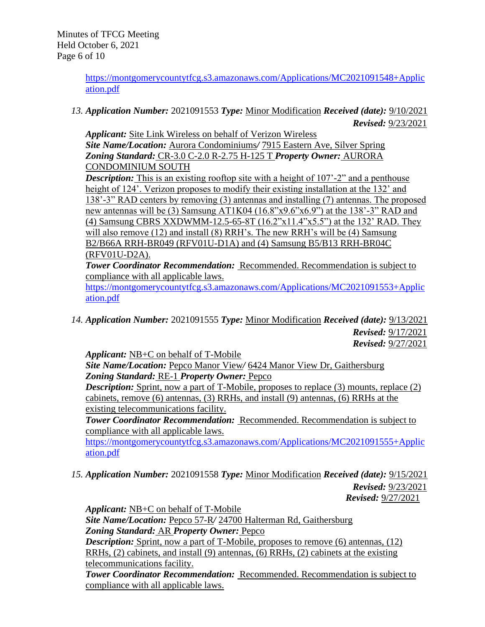[https://montgomerycountytfcg.s3.amazonaws.com/Applications/MC2021091548+Applic](https://montgomerycountytfcg.s3.amazonaws.com/Applications/MC2021091548+Application.pdf) [ation.pdf](https://montgomerycountytfcg.s3.amazonaws.com/Applications/MC2021091548+Application.pdf)

*13. Application Number:* 2021091553 *Type:* Minor Modification *Received (date):* 9/10/2021 *Revised:* 9/23/2021

*Applicant:* Site Link Wireless on behalf of Verizon Wireless *Site Name/Location:* Aurora Condominiums*/* 7915 Eastern Ave, Silver Spring *Zoning Standard:* CR-3.0 C-2.0 R-2.75 H-125 T *Property Owner:* AURORA CONDOMINIUM SOUTH

*Description:* This is an existing rooftop site with a height of 107<sup>-2</sup> and a penthouse height of 124'. Verizon proposes to modify their existing installation at the 132' and 138'-3" RAD centers by removing (3) antennas and installing (7) antennas. The proposed new antennas will be (3) Samsung AT1K04 (16.8"x9.6"x6.9") at the 138'-3" RAD and (4) Samsung CBRS XXDWMM-12.5-65-8T (16.2"x11.4"x5.5") at the 132' RAD. They will also remove (12) and install (8) RRH's. The new RRH's will be (4) Samsung B2/B66A RRH-BR049 (RFV01U-D1A) and (4) Samsung B5/B13 RRH-BR04C (RFV01U-D2A).

*Tower Coordinator Recommendation:* Recommended. Recommendation is subject to compliance with all applicable laws.

[https://montgomerycountytfcg.s3.amazonaws.com/Applications/MC2021091553+Applic](https://montgomerycountytfcg.s3.amazonaws.com/Applications/MC2021091553+Application.pdf) [ation.pdf](https://montgomerycountytfcg.s3.amazonaws.com/Applications/MC2021091553+Application.pdf)

*14. Application Number:* 2021091555 *Type:* Minor Modification *Received (date):* 9/13/2021 *Revised:* 9/17/2021 *Revised:* 9/27/2021

*Applicant:* NB+C on behalf of T-Mobile

*Site Name/Location:* Pepco Manor View*/* 6424 Manor View Dr, Gaithersburg *Zoning Standard:* RE-1 *Property Owner:* Pepco

**Description:** Sprint, now a part of T-Mobile, proposes to replace (3) mounts, replace (2) cabinets, remove (6) antennas, (3) RRHs, and install (9) antennas, (6) RRHs at the existing telecommunications facility.

*Tower Coordinator Recommendation:* Recommended. Recommendation is subject to compliance with all applicable laws.

[https://montgomerycountytfcg.s3.amazonaws.com/Applications/MC2021091555+Applic](https://montgomerycountytfcg.s3.amazonaws.com/Applications/MC2021091555+Application.pdf) [ation.pdf](https://montgomerycountytfcg.s3.amazonaws.com/Applications/MC2021091555+Application.pdf)

*15. Application Number:* 2021091558 *Type:* Minor Modification *Received (date):* 9/15/2021 *Revised:* 9/23/2021

*Revised:* 9/27/2021

*Applicant:* NB+C on behalf of T-Mobile *Site Name/Location:* Pepco 57-R*/* 24700 Halterman Rd, Gaithersburg

*Zoning Standard:* AR *Property Owner:* Pepco

*Description:* Sprint, now a part of T-Mobile, proposes to remove (6) antennas, (12) RRHs, (2) cabinets, and install (9) antennas, (6) RRHs, (2) cabinets at the existing telecommunications facility.

**Tower Coordinator Recommendation: Recommended. Recommendation is subject to** compliance with all applicable laws.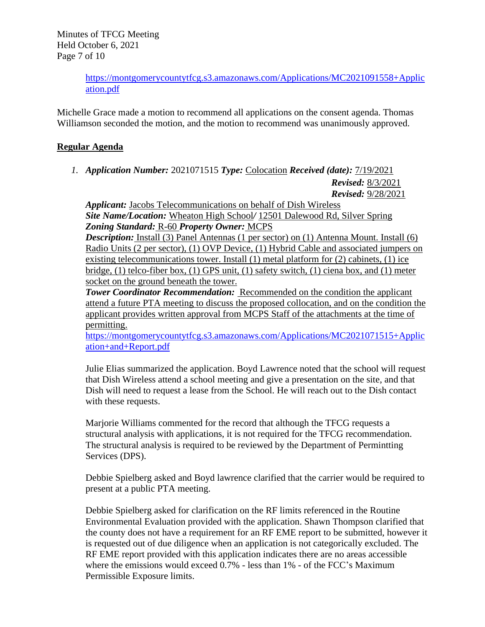Minutes of TFCG Meeting Held October 6, 2021 Page 7 of 10

> [https://montgomerycountytfcg.s3.amazonaws.com/Applications/MC2021091558+Applic](https://montgomerycountytfcg.s3.amazonaws.com/Applications/MC2021091558+Application.pdf) [ation.pdf](https://montgomerycountytfcg.s3.amazonaws.com/Applications/MC2021091558+Application.pdf)

Michelle Grace made a motion to recommend all applications on the consent agenda. Thomas Williamson seconded the motion, and the motion to recommend was unanimously approved.

# **Regular Agenda**

*1. Application Number:* 2021071515 *Type:* Colocation *Received (date):* 7/19/2021

*Revised:* 8/3/2021

*Revised:* 9/28/2021

*Applicant:* Jacobs Telecommunications on behalf of Dish Wireless *Site Name/Location:* Wheaton High School*/* 12501 Dalewood Rd, Silver Spring *Zoning Standard:* R-60 *Property Owner:* MCPS

**Description:** Install (3) Panel Antennas (1 per sector) on (1) Antenna Mount. Install (6) Radio Units (2 per sector), (1) OVP Device, (1) Hybrid Cable and associated jumpers on existing telecommunications tower. Install (1) metal platform for (2) cabinets, (1) ice bridge, (1) telco-fiber box, (1) GPS unit, (1) safety switch, (1) ciena box, and (1) meter socket on the ground beneath the tower.

**Tower Coordinator Recommendation:** Recommended on the condition the applicant attend a future PTA meeting to discuss the proposed collocation, and on the condition the applicant provides written approval from MCPS Staff of the attachments at the time of permitting.

[https://montgomerycountytfcg.s3.amazonaws.com/Applications/MC2021071515+Applic](https://montgomerycountytfcg.s3.amazonaws.com/Applications/MC2021071515+Application+and+Report.pdf) [ation+and+Report.pdf](https://montgomerycountytfcg.s3.amazonaws.com/Applications/MC2021071515+Application+and+Report.pdf)

Julie Elias summarized the application. Boyd Lawrence noted that the school will request that Dish Wireless attend a school meeting and give a presentation on the site, and that Dish will need to request a lease from the School. He will reach out to the Dish contact with these requests.

Marjorie Williams commented for the record that although the TFCG requests a structural analysis with applications, it is not required for the TFCG recommendation. The structural analysis is required to be reviewed by the Department of Permintting Services (DPS).

Debbie Spielberg asked and Boyd lawrence clarified that the carrier would be required to present at a public PTA meeting.

Debbie Spielberg asked for clarification on the RF limits referenced in the Routine Environmental Evaluation provided with the application. Shawn Thompson clarified that the county does not have a requirement for an RF EME report to be submitted, however it is requested out of due diligence when an application is not categorically excluded. The RF EME report provided with this application indicates there are no areas accessible where the emissions would exceed 0.7% - less than 1% - of the FCC's Maximum Permissible Exposure limits.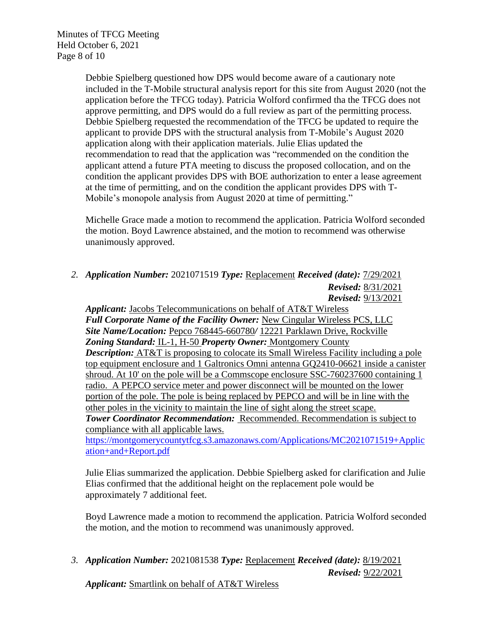Minutes of TFCG Meeting Held October 6, 2021 Page 8 of 10

> Debbie Spielberg questioned how DPS would become aware of a cautionary note included in the T-Mobile structural analysis report for this site from August 2020 (not the application before the TFCG today). Patricia Wolford confirmed tha the TFCG does not approve permitting, and DPS would do a full review as part of the permitting process. Debbie Spielberg requested the recommendation of the TFCG be updated to require the applicant to provide DPS with the structural analysis from T-Mobile's August 2020 application along with their application materials. Julie Elias updated the recommendation to read that the application was "recommended on the condition the applicant attend a future PTA meeting to discuss the proposed collocation, and on the condition the applicant provides DPS with BOE authorization to enter a lease agreement at the time of permitting, and on the condition the applicant provides DPS with T-Mobile's monopole analysis from August 2020 at time of permitting."

> Michelle Grace made a motion to recommend the application. Patricia Wolford seconded the motion. Boyd Lawrence abstained, and the motion to recommend was otherwise unanimously approved.

# *2. Application Number:* 2021071519 *Type:* Replacement *Received (date):* 7/29/2021 *Revised:* 8/31/2021 *Revised:* 9/13/2021

*Applicant:* Jacobs Telecommunications on behalf of AT&T Wireless Full Corporate Name of the Facility Owner: New Cingular Wireless PCS, LLC *Site Name/Location:* Pepco 768445-660780*/* 12221 Parklawn Drive, Rockville *Zoning Standard:* IL-1, H-50 *Property Owner:* Montgomery County *Description:* AT&T is proposing to colocate its Small Wireless Facility including a pole top equipment enclosure and 1 Galtronics Omni antenna GQ2410-06621 inside a canister shroud. At 10' on the pole will be a Commscope enclosure SSC-760237600 containing 1 radio. A PEPCO service meter and power disconnect will be mounted on the lower portion of the pole. The pole is being replaced by PEPCO and will be in line with the other poles in the vicinity to maintain the line of sight along the street scape. **Tower Coordinator Recommendation:** Recommended. Recommendation is subject to compliance with all applicable laws.

[https://montgomerycountytfcg.s3.amazonaws.com/Applications/MC2021071519+Applic](https://montgomerycountytfcg.s3.amazonaws.com/Applications/MC2021071519+Application+and+Report.pdf) [ation+and+Report.pdf](https://montgomerycountytfcg.s3.amazonaws.com/Applications/MC2021071519+Application+and+Report.pdf)

Julie Elias summarized the application. Debbie Spielberg asked for clarification and Julie Elias confirmed that the additional height on the replacement pole would be approximately 7 additional feet.

Boyd Lawrence made a motion to recommend the application. Patricia Wolford seconded the motion, and the motion to recommend was unanimously approved.

*3. Application Number:* 2021081538 *Type:* Replacement *Received (date):* 8/19/2021 *Revised:* 9/22/2021

*Applicant:* Smartlink on behalf of AT&T Wireless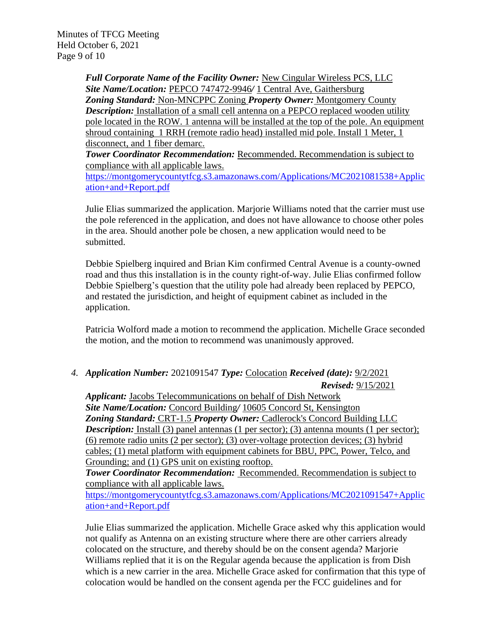Minutes of TFCG Meeting Held October 6, 2021 Page 9 of 10

> *Full Corporate Name of the Facility Owner:* New Cingular Wireless PCS, LLC *Site Name/Location:* PEPCO 747472-9946*/* 1 Central Ave, Gaithersburg *Zoning Standard:* Non-MNCPPC Zoning *Property Owner:* Montgomery County *Description:* Installation of a small cell antenna on a PEPCO replaced wooden utility pole located in the ROW. 1 antenna will be installed at the top of the pole. An equipment shroud containing 1 RRH (remote radio head) installed mid pole. Install 1 Meter, 1 disconnect, and 1 fiber demarc.

**Tower Coordinator Recommendation:** Recommended. Recommendation is subject to compliance with all applicable laws.

[https://montgomerycountytfcg.s3.amazonaws.com/Applications/MC2021081538+Applic](https://montgomerycountytfcg.s3.amazonaws.com/Applications/MC2021081538+Application+and+Report.pdf) [ation+and+Report.pdf](https://montgomerycountytfcg.s3.amazonaws.com/Applications/MC2021081538+Application+and+Report.pdf)

Julie Elias summarized the application. Marjorie Williams noted that the carrier must use the pole referenced in the application, and does not have allowance to choose other poles in the area. Should another pole be chosen, a new application would need to be submitted.

Debbie Spielberg inquired and Brian Kim confirmed Central Avenue is a county-owned road and thus this installation is in the county right-of-way. Julie Elias confirmed follow Debbie Spielberg's question that the utility pole had already been replaced by PEPCO, and restated the jurisdiction, and height of equipment cabinet as included in the application.

Patricia Wolford made a motion to recommend the application. Michelle Grace seconded the motion, and the motion to recommend was unanimously approved.

*4. Application Number:* 2021091547 *Type:* Colocation *Received (date):* 9/2/2021

*Revised:* 9/15/2021 *Applicant:* Jacobs Telecommunications on behalf of Dish Network *Site Name/Location:* Concord Building*/* 10605 Concord St, Kensington *Zoning Standard:* CRT-1.5 *Property Owner:* Cadlerock's Concord Building LLC **Description:** Install (3) panel antennas (1 per sector); (3) antenna mounts (1 per sector); (6) remote radio units (2 per sector); (3) over-voltage protection devices; (3) hybrid cables; (1) metal platform with equipment cabinets for BBU, PPC, Power, Telco, and Grounding; and (1) GPS unit on existing rooftop.

*Tower Coordinator Recommendation:* Recommended. Recommendation is subject to compliance with all applicable laws.

[https://montgomerycountytfcg.s3.amazonaws.com/Applications/MC2021091547+Applic](https://montgomerycountytfcg.s3.amazonaws.com/Applications/MC2021091547+Application+and+Report.pdf) [ation+and+Report.pdf](https://montgomerycountytfcg.s3.amazonaws.com/Applications/MC2021091547+Application+and+Report.pdf)

Julie Elias summarized the application. Michelle Grace asked why this application would not qualify as Antenna on an existing structure where there are other carriers already colocated on the structure, and thereby should be on the consent agenda? Marjorie Williams replied that it is on the Regular agenda because the application is from Dish which is a new carrier in the area. Michelle Grace asked for confirmation that this type of colocation would be handled on the consent agenda per the FCC guidelines and for